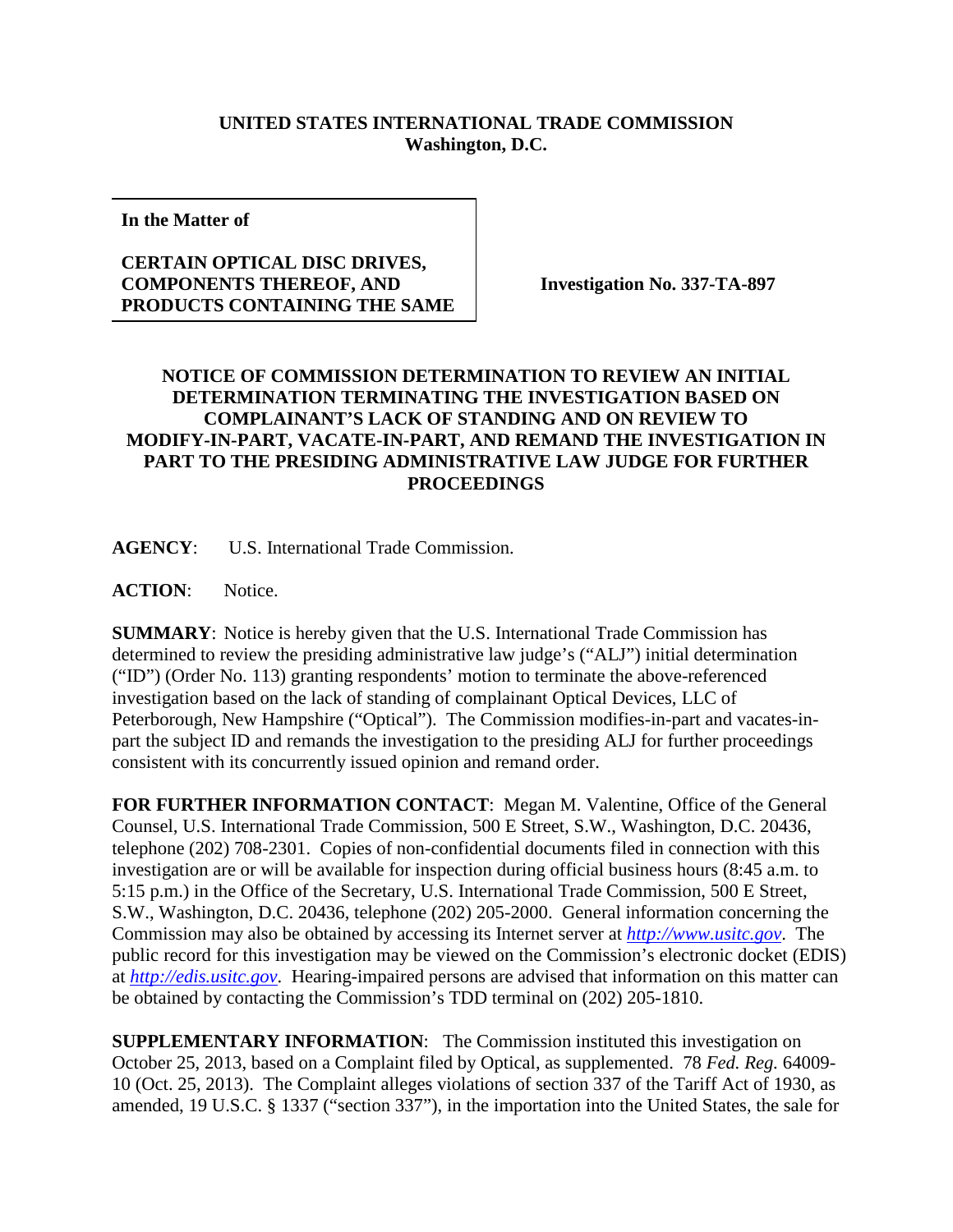## **UNITED STATES INTERNATIONAL TRADE COMMISSION Washington, D.C.**

**In the Matter of**

## **CERTAIN OPTICAL DISC DRIVES, COMPONENTS THEREOF, AND PRODUCTS CONTAINING THE SAME**

**Investigation No. 337-TA-897**

## **NOTICE OF COMMISSION DETERMINATION TO REVIEW AN INITIAL DETERMINATION TERMINATING THE INVESTIGATION BASED ON COMPLAINANT'S LACK OF STANDING AND ON REVIEW TO MODIFY-IN-PART, VACATE-IN-PART, AND REMAND THE INVESTIGATION IN PART TO THE PRESIDING ADMINISTRATIVE LAW JUDGE FOR FURTHER PROCEEDINGS**

**AGENCY**: U.S. International Trade Commission.

**ACTION**: Notice.

**SUMMARY**: Notice is hereby given that the U.S. International Trade Commission has determined to review the presiding administrative law judge's ("ALJ") initial determination ("ID") (Order No. 113) granting respondents' motion to terminate the above-referenced investigation based on the lack of standing of complainant Optical Devices, LLC of Peterborough, New Hampshire ("Optical"). The Commission modifies-in-part and vacates-inpart the subject ID and remands the investigation to the presiding ALJ for further proceedings consistent with its concurrently issued opinion and remand order.

**FOR FURTHER INFORMATION CONTACT**: Megan M. Valentine, Office of the General Counsel, U.S. International Trade Commission, 500 E Street, S.W., Washington, D.C. 20436, telephone (202) 708-2301. Copies of non-confidential documents filed in connection with this investigation are or will be available for inspection during official business hours (8:45 a.m. to 5:15 p.m.) in the Office of the Secretary, U.S. International Trade Commission, 500 E Street, S.W., Washington, D.C. 20436, telephone (202) 205-2000. General information concerning the Commission may also be obtained by accessing its Internet server at *[http://www.usitc.gov](http://www.usitc.gov/)*. The public record for this investigation may be viewed on the Commission's electronic docket (EDIS) at *[http://edis.usitc.gov](http://edis.usitc.gov/)*. Hearing-impaired persons are advised that information on this matter can be obtained by contacting the Commission's TDD terminal on (202) 205-1810.

**SUPPLEMENTARY INFORMATION**: The Commission instituted this investigation on October 25, 2013, based on a Complaint filed by Optical, as supplemented. 78 *Fed. Reg.* 64009- 10 (Oct. 25, 2013). The Complaint alleges violations of section 337 of the Tariff Act of 1930, as amended, 19 U.S.C. § 1337 ("section 337"), in the importation into the United States, the sale for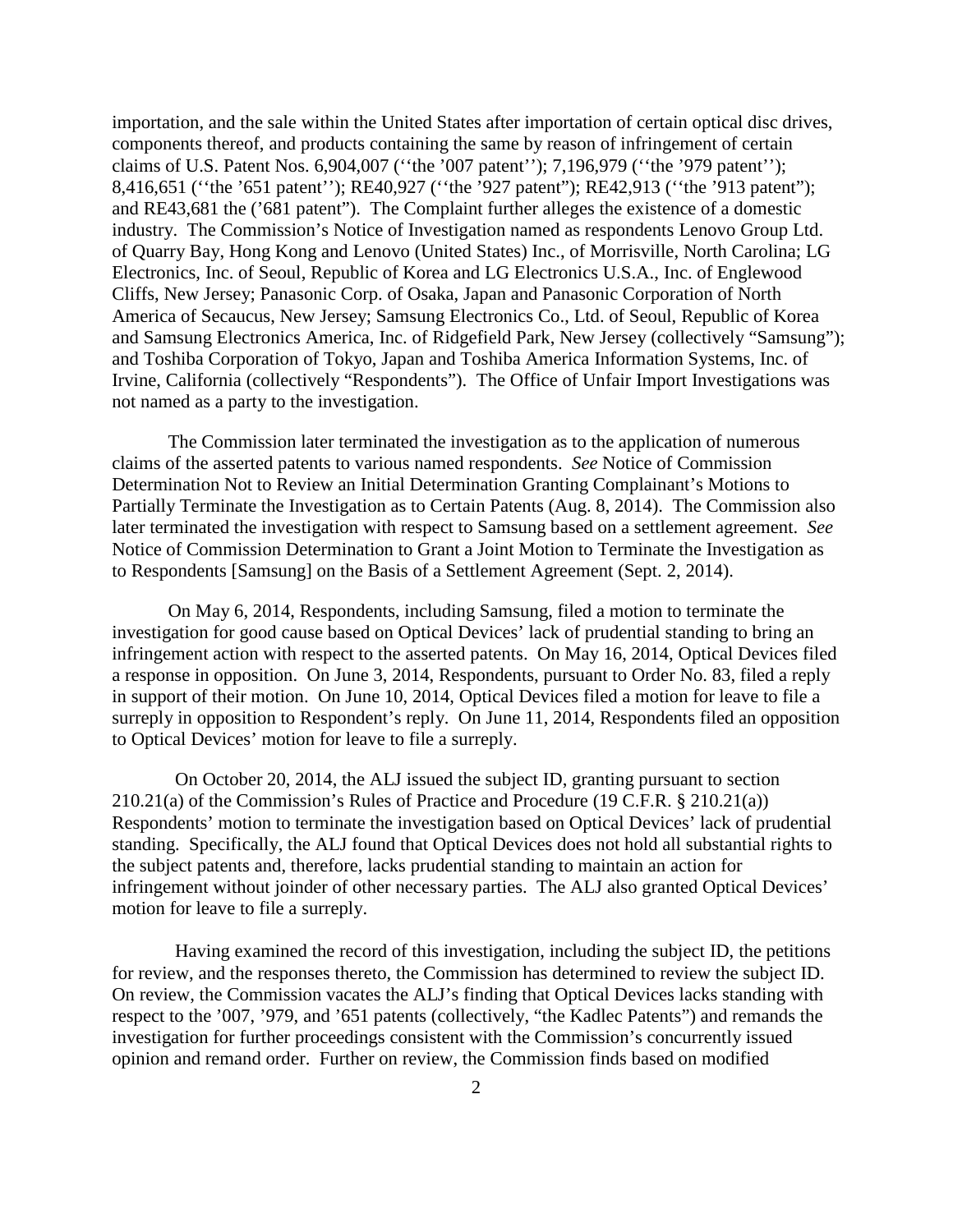importation, and the sale within the United States after importation of certain optical disc drives, components thereof, and products containing the same by reason of infringement of certain claims of U.S. Patent Nos. 6,904,007 (''the '007 patent''); 7,196,979 (''the '979 patent''); 8,416,651 ("the '651 patent"); RE40,927 ("the '927 patent"); RE42,913 ("the '913 patent"); and RE43,681 the ('681 patent"). The Complaint further alleges the existence of a domestic industry. The Commission's Notice of Investigation named as respondents Lenovo Group Ltd. of Quarry Bay, Hong Kong and Lenovo (United States) Inc., of Morrisville, North Carolina; LG Electronics, Inc. of Seoul, Republic of Korea and LG Electronics U.S.A., Inc. of Englewood Cliffs, New Jersey; Panasonic Corp. of Osaka, Japan and Panasonic Corporation of North America of Secaucus, New Jersey; Samsung Electronics Co., Ltd. of Seoul, Republic of Korea and Samsung Electronics America, Inc. of Ridgefield Park, New Jersey (collectively "Samsung"); and Toshiba Corporation of Tokyo, Japan and Toshiba America Information Systems, Inc. of Irvine, California (collectively "Respondents"). The Office of Unfair Import Investigations was not named as a party to the investigation.

The Commission later terminated the investigation as to the application of numerous claims of the asserted patents to various named respondents. *See* Notice of Commission Determination Not to Review an Initial Determination Granting Complainant's Motions to Partially Terminate the Investigation as to Certain Patents (Aug. 8, 2014). The Commission also later terminated the investigation with respect to Samsung based on a settlement agreement. *See* Notice of Commission Determination to Grant a Joint Motion to Terminate the Investigation as to Respondents [Samsung] on the Basis of a Settlement Agreement (Sept. 2, 2014).

On May 6, 2014, Respondents, including Samsung, filed a motion to terminate the investigation for good cause based on Optical Devices' lack of prudential standing to bring an infringement action with respect to the asserted patents. On May 16, 2014, Optical Devices filed a response in opposition. On June 3, 2014, Respondents, pursuant to Order No. 83, filed a reply in support of their motion. On June 10, 2014, Optical Devices filed a motion for leave to file a surreply in opposition to Respondent's reply. On June 11, 2014, Respondents filed an opposition to Optical Devices' motion for leave to file a surreply.

On October 20, 2014, the ALJ issued the subject ID, granting pursuant to section 210.21(a) of the Commission's Rules of Practice and Procedure (19 C.F.R. § 210.21(a)) Respondents' motion to terminate the investigation based on Optical Devices' lack of prudential standing. Specifically, the ALJ found that Optical Devices does not hold all substantial rights to the subject patents and, therefore, lacks prudential standing to maintain an action for infringement without joinder of other necessary parties. The ALJ also granted Optical Devices' motion for leave to file a surreply.

Having examined the record of this investigation, including the subject ID, the petitions for review, and the responses thereto, the Commission has determined to review the subject ID. On review, the Commission vacates the ALJ's finding that Optical Devices lacks standing with respect to the '007, '979, and '651 patents (collectively, "the Kadlec Patents") and remands the investigation for further proceedings consistent with the Commission's concurrently issued opinion and remand order. Further on review, the Commission finds based on modified